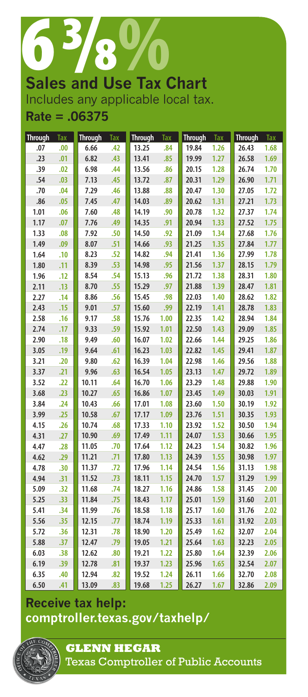# 63<br>Sales and Use Tax ( **Sales and Use Tax Chart** Includes any applicable local tax.

## **Rate = .06375**

| <b>Through</b> | <b>Tax</b> | <b>Through</b> | Tax | <b>Through</b> | <b>Tax</b> | <b>Through</b> | Tax  | <b>Through</b> | <b>Tax</b> |
|----------------|------------|----------------|-----|----------------|------------|----------------|------|----------------|------------|
| .07            | .00        | 6.66           | .42 | 13.25          | .84        | 19.84          | 1.26 | 26.43          | 1.68       |
| .23            | .01        | 6.82           | .43 | 13.41          | .85        | 19.99          | 1.27 | 26.58          | 1.69       |
| .39            | .02        | 6.98           | .44 | 13.56          | .86        | 20.15          | 1.28 | 26.74          | 1.70       |
| .54            | .03        | 7.13           | .45 | 13.72          | .87        | 20.31          | 1.29 | 26.90          | 1.71       |
| .70            | .04        | 7.29           | .46 | 13.88          | .88        | 20.47          | 1.30 | 27.05          | 1.72       |
| .86            | .05        | 7.45           | .47 | 14.03          | .89        | 20.62          | 1.31 | 27.21          | 1.73       |
| 1.01           | .06        | 7.60           | .48 | 14.19          | .90        | 20.78          | 1.32 | 27.37          | 1.74       |
| 1.17           | .07        | 7.76           | .49 | 14.35          | .91        | 20.94          | 1.33 | 27.52          | 1.75       |
| 1.33           | .08        | 7.92           | .50 | 14.50          | .92        | 21.09          | 1.34 | 27.68          | 1.76       |
| 1.49           | .09        | 8.07           | .51 | 14.66          | .93        | 21.25          | 1.35 | 27.84          | 1.77       |
| 1.64           | .10        | 8.23           | .52 | 14.82          | .94        | 21.41          | 1.36 | 27.99          | 1.78       |
| 1.80           | .11        | 8.39           | .53 | 14.98          | .95        | 21.56          | 1.37 | 28.15          | 1.79       |
| 1.96           | .12        | 8.54           | .54 | 15.13          | .96        | 21.72          | 1.38 | 28.31          | 1.80       |
| 2.11           | .13        | 8.70           | .55 | 15.29          | .97        | 21.88          | 1.39 | 28.47          | 1.81       |
| 2.27           | .14        | 8.86           | .56 | 15.45          | .98        | 22.03          | 1.40 | 28.62          | 1.82       |
| 2.43           | .15        | 9.01           | .57 | 15.60          | .99        | 22.19          | 1.41 | 28.78          | 1.83       |
| 2.58           | .16        | 9.17           | .58 | 15.76          | 1.00       | 22.35          | 1.42 | 28.94          | 1.84       |
| 2.74           | .17        | 9.33           | .59 | 15.92          | 1.01       | 22.50          | 1.43 | 29.09          | 1.85       |
| 2.90           | .18        | 9.49           | .60 | 16.07          | 1.02       | 22.66          | 1.44 | 29.25          | 1.86       |
| 3.05           | .19        | 9.64           | .61 | 16.23          | 1.03       | 22.82          | 1.45 | 29.41          | 1.87       |
| 3.21           | .20        | 9.80           | .62 | 16.39          | 1.04       | 22.98          | 1.46 | 29.56          | 1.88       |
| 3.37           | .21        | 9.96           | .63 | 16.54          | 1.05       | 23.13          | 1.47 | 29.72          | 1.89       |
| 3.52           | .22        | 10.11          | .64 | 16.70          | 1.06       | 23.29          | 1.48 | 29.88          | 1.90       |
| 3.68           | .23        | 10.27          | .65 | 16.86          | 1.07       | 23.45          | 1.49 | 30.03          | 1.91       |
| 3.84           | .24        | 10.43          | .66 | 17.01          | 1.08       | 23.60          | 1.50 | 30.19          | 1.92       |
| 3.99           | .25        | 10.58          | .67 | 17.17          | 1.09       | 23.76          | 1.51 | 30.35          | 1.93       |
| 4.15           | .26        | 10.74          | .68 | 17.33          | 1.10       | 23.92          | 1.52 | 30.50          | 1.94       |
| 4.31           | .27        | 10.90          | .69 | 17.49          | 1.11       | 24.07          | 1.53 | 30.66          | 1.95       |
| 4.47           | .28        | 11.05          | .70 | 17.64          | 1.12       | 24.23          | 1.54 | 30.82          | 1.96       |
| 4.62           | .29        | 11.21          | .71 | 17.80          | 1.13       | 24.39          | 1.55 | 30.98          | 1.97       |
| 4.78           | .30        | 11.37          | .72 | 17.96          | 1.14       | 24.54          | 1.56 | 31.13          | 1.98       |
| 4.94           | .31        | 11.52          | .73 | 18.11          | 1.15       | 24.70          | 1.57 | 31.29          | 1.99       |
| 5.09           | .32        | 11.68          | .74 | 18.27          | 1.16       | 24.86          | 1.58 | 31.45          | 2.00       |
| 5.25           | .33        | 11.84          | .75 | 18.43          | 1.17       | 25.01          | 1.59 | 31.60          | 2.01       |
| 5.41           | .34        | 11.99          | .76 | 18.58          | 1.18       | 25.17          | 1.60 | 31.76          | 2.02       |
| 5.56           | .35        | 12.15          | .77 | 18.74          | 1.19       | 25.33          | 1.61 | 31.92          | 2.03       |
| 5.72           | .36        | 12.31          | .78 | 18.90          | 1.20       | 25.49          | 1.62 | 32.07          | 2.04       |
| 5.88           | .37        | 12.47          | .79 | 19.05          | 1.21       | 25.64          | 1.63 | 32.23          | 2.05       |
| 6.03           | .38        | 12.62          | .80 | 19.21          | 1.22       | 25.80          | 1.64 | 32.39          | 2.06       |
| 6.19           | .39        | 12.78          | .81 | 19.37          | 1.23       | 25.96          | 1.65 | 32.54          | 2.07       |
| 6.35           | .40        | 12.94          | .82 | 19.52          | 1.24       | 26.11          | 1.66 | 32.70          | 2.08       |
| 6.50           | .41        | 13.09          | .83 | 19.68          | 1.25       | 26.27          | 1.67 | 32.86          | 2.09       |

# **Receive tax help: <comptroller.texas.gov/taxhelp/>**



**GLENN HEGAR**  Texas Comptroller of Public Accounts